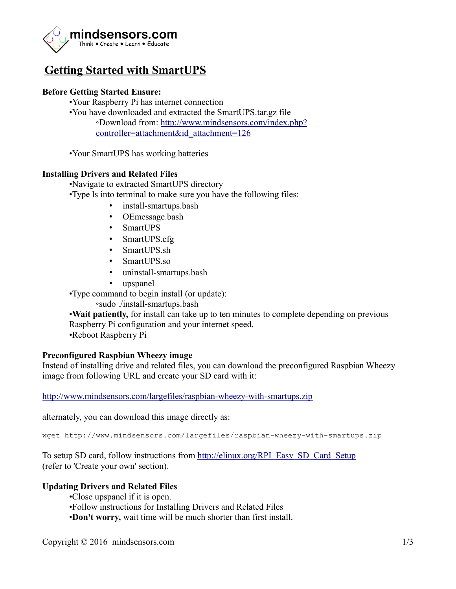

# **Getting Started with SmartUPS**

# **Before Getting Started Ensure:**

- •Your Raspberry Pi has internet connection
- •You have downloaded and extracted the SmartUPS.tar.gz file ◦Download from: [http://www.mindsensors.com/index.php?](http://www.mindsensors.com/index.php?controller=attachment&id_attachment=126) [controller=attachment&id\\_attachment=126](http://www.mindsensors.com/index.php?controller=attachment&id_attachment=126)

•Your SmartUPS has working batteries

## **Installing Drivers and Related Files**

•Navigate to extracted SmartUPS directory

- •Type ls into terminal to make sure you have the following files:
	- install-smartups.bash
	- OEmessage.bash
	- SmartUPS
	- SmartUPS.cfg
	- SmartUPS.sh
	- SmartUPS.so
	- uninstall-smartups.bash
	- upspanel

•Type command to begin install (or update):

◦sudo ./install-smartups.bash

•**Wait patiently,** for install can take up to ten minutes to complete depending on previous Raspberry Pi configuration and your internet speed. •Reboot Raspberry Pi

#### **Preconfigured Raspbian Wheezy image**

Instead of installing drive and related files, you can download the preconfigured Raspbian Wheezy image from following URL and create your SD card with it:

<http://www.mindsensors.com/largefiles/raspbian-wheezy-with-smartups.zip>

alternately, you can download this image directly as:

wget http://www.mindsensors.com/largefiles/raspbian-wheezy-with-smartups.zip

To setup SD card, follow instructions from [http://elinux.org/RPI\\_Easy\\_SD\\_Card\\_Setup](http://elinux.org/RPI_Easy_SD_Card_Setup) (refer to 'Create your own' section).

#### **Updating Drivers and Related Files**

- •Close upspanel if it is open.
- •Follow instructions for Installing Drivers and Related Files
- •**Don't worry,** wait time will be much shorter than first install.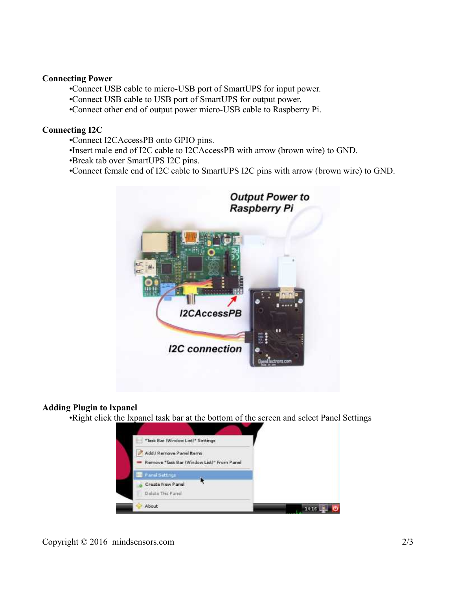#### **Connecting Power**

•Connect USB cable to micro-USB port of SmartUPS for input power.

•Connect USB cable to USB port of SmartUPS for output power.

•Connect other end of output power micro-USB cable to Raspberry Pi.

#### **Connecting I2C**

- •Connect I2CAccessPB onto GPIO pins.
- •Insert male end of I2C cable to I2CAccessPB with arrow (brown wire) to GND.
- •Break tab over SmartUPS I2C pins.
- •Connect female end of I2C cable to SmartUPS I2C pins with arrow (brown wire) to GND.



# **Adding Plugin to lxpanel**

•Right click the lxpanel task bar at the bottom of the screen and select Panel Settings